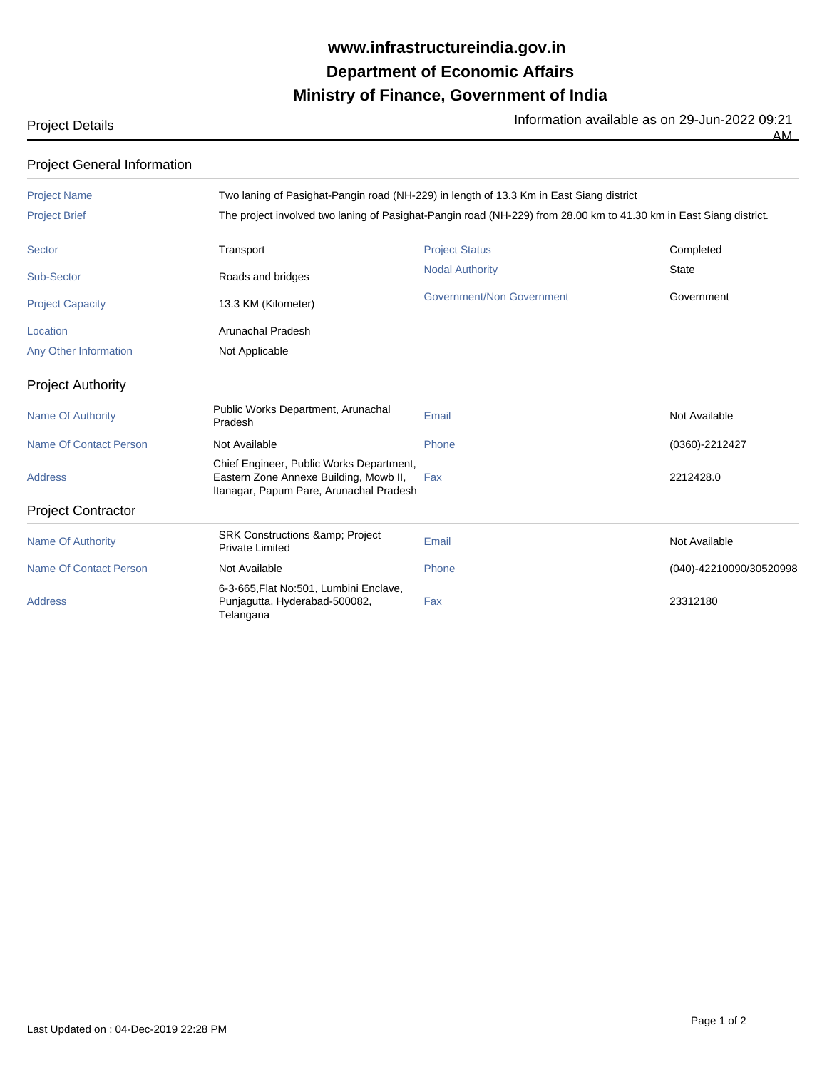## **Ministry of Finance, Government of India Department of Economic Affairs www.infrastructureindia.gov.in**

Project Details Information available as on 29-Jun-2022 09:21

 $\overline{AM}$ 

## Project General Information

| <b>Project Name</b>           |                                                                                                                               | Two laning of Pasighat-Pangin road (NH-229) in length of 13.3 Km in East Siang district                            |                         |  |  |
|-------------------------------|-------------------------------------------------------------------------------------------------------------------------------|--------------------------------------------------------------------------------------------------------------------|-------------------------|--|--|
| <b>Project Brief</b>          |                                                                                                                               | The project involved two laning of Pasighat-Pangin road (NH-229) from 28.00 km to 41.30 km in East Siang district. |                         |  |  |
| <b>Sector</b>                 | Transport                                                                                                                     | <b>Project Status</b>                                                                                              | Completed               |  |  |
| Sub-Sector                    | Roads and bridges                                                                                                             | <b>Nodal Authority</b>                                                                                             | <b>State</b>            |  |  |
| <b>Project Capacity</b>       | 13.3 KM (Kilometer)                                                                                                           | Government/Non Government                                                                                          | Government              |  |  |
| Location                      | Arunachal Pradesh                                                                                                             |                                                                                                                    |                         |  |  |
| Any Other Information         | Not Applicable                                                                                                                |                                                                                                                    |                         |  |  |
| <b>Project Authority</b>      |                                                                                                                               |                                                                                                                    |                         |  |  |
| <b>Name Of Authority</b>      | Public Works Department, Arunachal<br>Pradesh                                                                                 | Email                                                                                                              | Not Available           |  |  |
| Name Of Contact Person        | Not Available                                                                                                                 | Phone                                                                                                              | (0360)-2212427          |  |  |
| <b>Address</b>                | Chief Engineer, Public Works Department,<br>Eastern Zone Annexe Building, Mowb II,<br>Itanagar, Papum Pare, Arunachal Pradesh | Fax                                                                                                                | 2212428.0               |  |  |
| <b>Project Contractor</b>     |                                                                                                                               |                                                                                                                    |                         |  |  |
| <b>Name Of Authority</b>      | <b>SRK Constructions &amp;: Project</b><br><b>Private Limited</b>                                                             | Email                                                                                                              | Not Available           |  |  |
| <b>Name Of Contact Person</b> | Not Available                                                                                                                 | Phone                                                                                                              | (040)-42210090/30520998 |  |  |
| <b>Address</b>                | 6-3-665, Flat No:501, Lumbini Enclave,<br>Punjagutta, Hyderabad-500082,<br>Telangana                                          | Fax                                                                                                                | 23312180                |  |  |